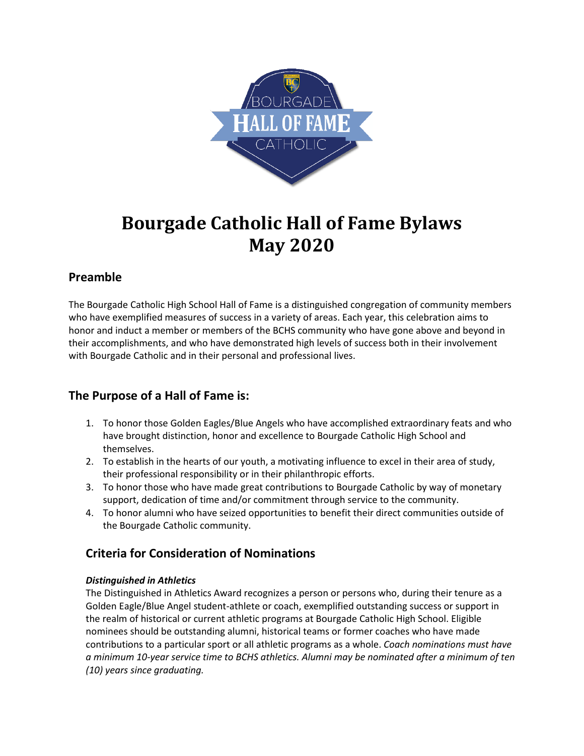

# **Bourgade Catholic Hall of Fame Bylaws May 2020**

# **Preamble**

The Bourgade Catholic High School Hall of Fame is a distinguished congregation of community members who have exemplified measures of success in a variety of areas. Each year, this celebration aims to honor and induct a member or members of the BCHS community who have gone above and beyond in their accomplishments, and who have demonstrated high levels of success both in their involvement with Bourgade Catholic and in their personal and professional lives.

# **The Purpose of a Hall of Fame is:**

- 1. To honor those Golden Eagles/Blue Angels who have accomplished extraordinary feats and who have brought distinction, honor and excellence to Bourgade Catholic High School and themselves.
- 2. To establish in the hearts of our youth, a motivating influence to excel in their area of study, their professional responsibility or in their philanthropic efforts.
- 3. To honor those who have made great contributions to Bourgade Catholic by way of monetary support, dedication of time and/or commitment through service to the community.
- 4. To honor alumni who have seized opportunities to benefit their direct communities outside of the Bourgade Catholic community.

# **Criteria for Consideration of Nominations**

## *Distinguished in Athletics*

The Distinguished in Athletics Award recognizes a person or persons who, during their tenure as a Golden Eagle/Blue Angel student-athlete or coach, exemplified outstanding success or support in the realm of historical or current athletic programs at Bourgade Catholic High School. Eligible nominees should be outstanding alumni, historical teams or former coaches who have made contributions to a particular sport or all athletic programs as a whole. *Coach nominations must have a minimum 10-year service time to BCHS athletics. Alumni may be nominated after a minimum of ten (10) years since graduating.*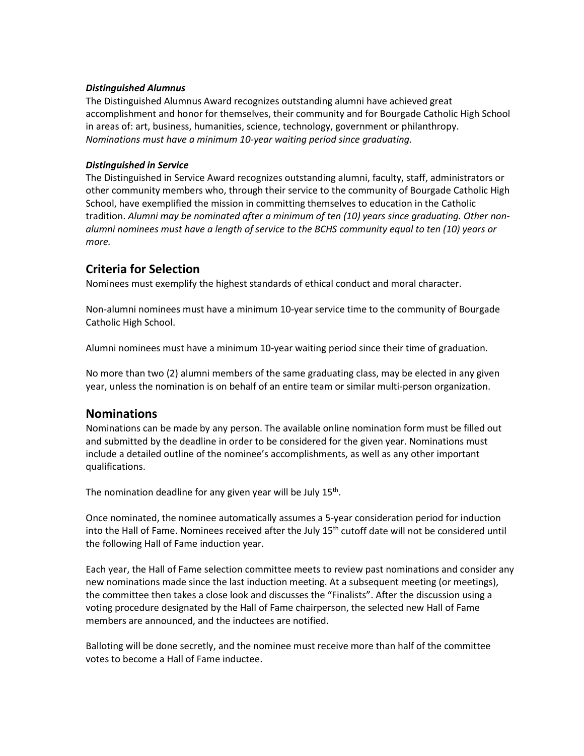#### *Distinguished Alumnus*

The Distinguished Alumnus Award recognizes outstanding alumni have achieved great accomplishment and honor for themselves, their community and for Bourgade Catholic High School in areas of: art, business, humanities, science, technology, government or philanthropy. *Nominations must have a minimum 10-year waiting period since graduating.*

#### *Distinguished in Service*

The Distinguished in Service Award recognizes outstanding alumni, faculty, staff, administrators or other community members who, through their service to the community of Bourgade Catholic High School, have exemplified the mission in committing themselves to education in the Catholic tradition. *Alumni may be nominated after a minimum of ten (10) years since graduating. Other nonalumni nominees must have a length of service to the BCHS community equal to ten (10) years or more.*

## **Criteria for Selection**

Nominees must exemplify the highest standards of ethical conduct and moral character.

Non-alumni nominees must have a minimum 10-year service time to the community of Bourgade Catholic High School.

Alumni nominees must have a minimum 10-year waiting period since their time of graduation.

No more than two (2) alumni members of the same graduating class, may be elected in any given year, unless the nomination is on behalf of an entire team or similar multi-person organization.

### **Nominations**

Nominations can be made by any person. The available online nomination form must be filled out and submitted by the deadline in order to be considered for the given year. Nominations must include a detailed outline of the nominee's accomplishments, as well as any other important qualifications.

The nomination deadline for any given year will be July  $15<sup>th</sup>$ .

Once nominated, the nominee automatically assumes a 5-year consideration period for induction into the Hall of Fame. Nominees received after the July 15<sup>th</sup> cutoff date will not be considered until the following Hall of Fame induction year.

Each year, the Hall of Fame selection committee meets to review past nominations and consider any new nominations made since the last induction meeting. At a subsequent meeting (or meetings), the committee then takes a close look and discusses the "Finalists". After the discussion using a voting procedure designated by the Hall of Fame chairperson, the selected new Hall of Fame members are announced, and the inductees are notified.

Balloting will be done secretly, and the nominee must receive more than half of the committee votes to become a Hall of Fame inductee.